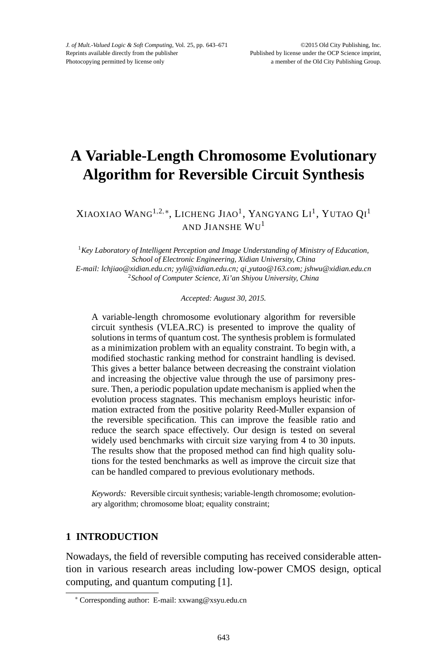# **A Variable-Length Chromosome Evolutionary Algorithm for Reversible Circuit Synthesis**

Xiaoxiao Wang<sup>1,2,∗</sup>, Licheng Jiao<sup>1</sup>, Yangyang Li<sup>1</sup>, Yutao Qi<sup>1</sup> AND JIANSHE WU<sup>1</sup>

<sup>1</sup>*Key Laboratory of Intelligent Perception and Image Understanding of Ministry of Education, School of Electronic Engineering, Xidian University, China E-mail: lchjiao@xidian.edu.cn; yyli@xidian.edu.cn; qi yutao@163.com; jshwu@xidian.edu.cn* <sup>2</sup>*School of Computer Science, Xi'an Shiyou University, China*

*Accepted: August 30, 2015.*

A variable-length chromosome evolutionary algorithm for reversible circuit synthesis (VLEA RC) is presented to improve the quality of solutions in terms of quantum cost. The synthesis problem is formulated as a minimization problem with an equality constraint. To begin with, a modified stochastic ranking method for constraint handling is devised. This gives a better balance between decreasing the constraint violation and increasing the objective value through the use of parsimony pressure. Then, a periodic population update mechanism is applied when the evolution process stagnates. This mechanism employs heuristic information extracted from the positive polarity Reed-Muller expansion of the reversible specification. This can improve the feasible ratio and reduce the search space effectively. Our design is tested on several widely used benchmarks with circuit size varying from 4 to 30 inputs. The results show that the proposed method can find high quality solutions for the tested benchmarks as well as improve the circuit size that can be handled compared to previous evolutionary methods.

*Keywords:* Reversible circuit synthesis; variable-length chromosome; evolutionary algorithm; chromosome bloat; equality constraint;

# **1 INTRODUCTION**

Nowadays, the field of reversible computing has received considerable attention in various research areas including low-power CMOS design, optical computing, and quantum computing [1].

<sup>∗</sup> Corresponding author: E-mail: xxwang@xsyu.edu.cn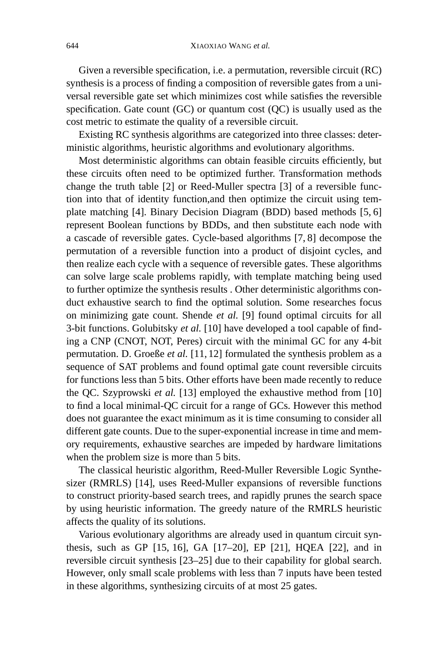Given a reversible specification, i.e. a permutation, reversible circuit (RC) synthesis is a process of finding a composition of reversible gates from a universal reversible gate set which minimizes cost while satisfies the reversible specification. Gate count (GC) or quantum cost (QC) is usually used as the cost metric to estimate the quality of a reversible circuit.

Existing RC synthesis algorithms are categorized into three classes: deterministic algorithms, heuristic algorithms and evolutionary algorithms.

Most deterministic algorithms can obtain feasible circuits efficiently, but these circuits often need to be optimized further. Transformation methods change the truth table [2] or Reed-Muller spectra [3] of a reversible function into that of identity function,and then optimize the circuit using template matching [4]. Binary Decision Diagram (BDD) based methods [5, 6] represent Boolean functions by BDDs, and then substitute each node with a cascade of reversible gates. Cycle-based algorithms [7, 8] decompose the permutation of a reversible function into a product of disjoint cycles, and then realize each cycle with a sequence of reversible gates. These algorithms can solve large scale problems rapidly, with template matching being used to further optimize the synthesis results . Other deterministic algorithms conduct exhaustive search to find the optimal solution. Some researches focus on minimizing gate count. Shende *et al.* [9] found optimal circuits for all 3-bit functions. Golubitsky *et al.* [10] have developed a tool capable of finding a CNP (CNOT, NOT, Peres) circuit with the minimal GC for any 4-bit permutation. D. Groeße *et al.* [11, 12] formulated the synthesis problem as a sequence of SAT problems and found optimal gate count reversible circuits for functions less than 5 bits. Other efforts have been made recently to reduce the QC. Szyprowski *et al.* [13] employed the exhaustive method from [10] to find a local minimal-QC circuit for a range of GCs. However this method does not guarantee the exact minimum as it is time consuming to consider all different gate counts. Due to the super-exponential increase in time and memory requirements, exhaustive searches are impeded by hardware limitations when the problem size is more than 5 bits.

The classical heuristic algorithm, Reed-Muller Reversible Logic Synthesizer (RMRLS) [14], uses Reed-Muller expansions of reversible functions to construct priority-based search trees, and rapidly prunes the search space by using heuristic information. The greedy nature of the RMRLS heuristic affects the quality of its solutions.

Various evolutionary algorithms are already used in quantum circuit synthesis, such as GP [15, 16], GA [17–20], EP [21], HQEA [22], and in reversible circuit synthesis [23–25] due to their capability for global search. However, only small scale problems with less than 7 inputs have been tested in these algorithms, synthesizing circuits of at most 25 gates.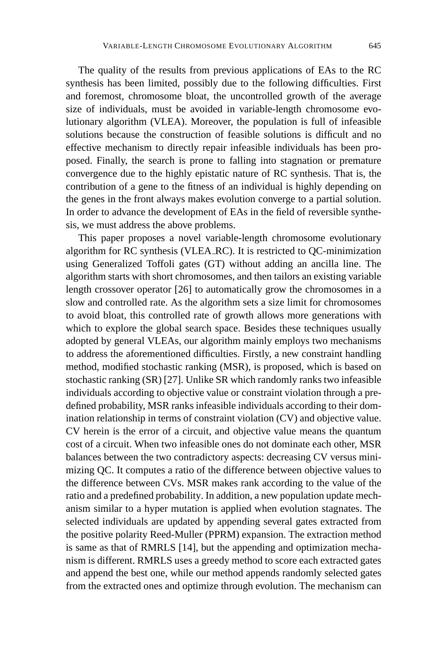The quality of the results from previous applications of EAs to the RC synthesis has been limited, possibly due to the following difficulties. First and foremost, chromosome bloat, the uncontrolled growth of the average size of individuals, must be avoided in variable-length chromosome evolutionary algorithm (VLEA). Moreover, the population is full of infeasible solutions because the construction of feasible solutions is difficult and no effective mechanism to directly repair infeasible individuals has been proposed. Finally, the search is prone to falling into stagnation or premature convergence due to the highly epistatic nature of RC synthesis. That is, the contribution of a gene to the fitness of an individual is highly depending on the genes in the front always makes evolution converge to a partial solution. In order to advance the development of EAs in the field of reversible synthesis, we must address the above problems.

This paper proposes a novel variable-length chromosome evolutionary algorithm for RC synthesis (VLEA RC). It is restricted to QC-minimization using Generalized Toffoli gates (GT) without adding an ancilla line. The algorithm starts with short chromosomes, and then tailors an existing variable length crossover operator [26] to automatically grow the chromosomes in a slow and controlled rate. As the algorithm sets a size limit for chromosomes to avoid bloat, this controlled rate of growth allows more generations with which to explore the global search space. Besides these techniques usually adopted by general VLEAs, our algorithm mainly employs two mechanisms to address the aforementioned difficulties. Firstly, a new constraint handling method, modified stochastic ranking (MSR), is proposed, which is based on stochastic ranking (SR) [27]. Unlike SR which randomly ranks two infeasible individuals according to objective value or constraint violation through a predefined probability, MSR ranks infeasible individuals according to their domination relationship in terms of constraint violation (CV) and objective value. CV herein is the error of a circuit, and objective value means the quantum cost of a circuit. When two infeasible ones do not dominate each other, MSR balances between the two contradictory aspects: decreasing CV versus minimizing QC. It computes a ratio of the difference between objective values to the difference between CVs. MSR makes rank according to the value of the ratio and a predefined probability. In addition, a new population update mechanism similar to a hyper mutation is applied when evolution stagnates. The selected individuals are updated by appending several gates extracted from the positive polarity Reed-Muller (PPRM) expansion. The extraction method is same as that of RMRLS [14], but the appending and optimization mechanism is different. RMRLS uses a greedy method to score each extracted gates and append the best one, while our method appends randomly selected gates from the extracted ones and optimize through evolution. The mechanism can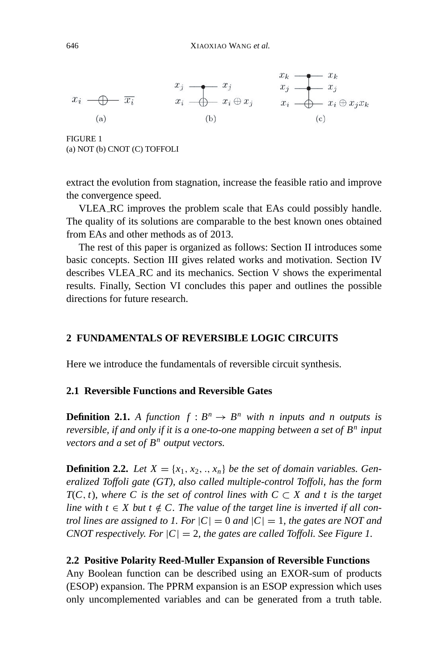$$
x_i \longrightarrow \overline{x_i} \qquad x_j \longrightarrow x_j \qquad x_j \longrightarrow x_k
$$
\n(a)\n(b)\n
$$
x_i \longrightarrow x_i \oplus x_j \qquad x_i \longrightarrow x_i \oplus x_j x_k
$$
\n(c)

FIGURE 1 (a) NOT (b) CNOT (C) TOFFOLI

extract the evolution from stagnation, increase the feasible ratio and improve the convergence speed.

VLEA RC improves the problem scale that EAs could possibly handle. The quality of its solutions are comparable to the best known ones obtained from EAs and other methods as of 2013.

The rest of this paper is organized as follows: Section II introduces some basic concepts. Section III gives related works and motivation. Section IV describes VLEA RC and its mechanics. Section V shows the experimental results. Finally, Section VI concludes this paper and outlines the possible directions for future research.

# **2 FUNDAMENTALS OF REVERSIBLE LOGIC CIRCUITS**

Here we introduce the fundamentals of reversible circuit synthesis.

### **2.1 Reversible Functions and Reversible Gates**

**Definition 2.1.** A function  $f : B^n \to B^n$  with n inputs and n outputs is *reversible, if and only if it is a one-to-one mapping between a set of B<sup>n</sup> input vectors and a set of B<sup>n</sup> output vectors.*

**Definition 2.2.** Let  $X = \{x_1, x_2, \ldots, x_n\}$  be the set of domain variables. Gen*eralized Toffoli gate (GT), also called multiple-control Toffoli, has the form*  $T(C, t)$ *, where* C is the set of control lines with  $C \subset X$  and t is the target *line with*  $t \in X$  *but*  $t \notin C$ . The value of the target line is inverted if all con*trol lines are assigned to 1. For*  $|C| = 0$  *and*  $|C| = 1$ *, the gates are NOT and CNOT respectively. For*  $|C| = 2$ *, the gates are called Toffoli. See Figure 1.* 

#### **2.2 Positive Polarity Reed-Muller Expansion of Reversible Functions**

Any Boolean function can be described using an EXOR-sum of products (ESOP) expansion. The PPRM expansion is an ESOP expression which uses only uncomplemented variables and can be generated from a truth table.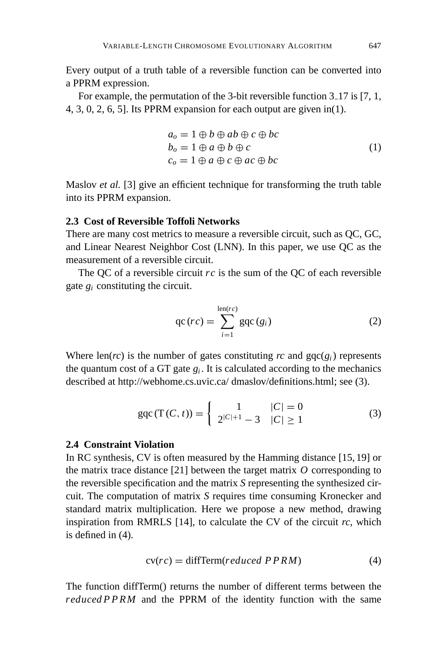Every output of a truth table of a reversible function can be converted into a PPRM expression.

For example, the permutation of the 3-bit reversible function  $3-17$  is [7, 1, 4, 3, 0, 2, 6, 5]. Its PPRM expansion for each output are given in(1).

$$
a_o = 1 \oplus b \oplus ab \oplus c \oplus bc
$$
  
\n
$$
b_o = 1 \oplus a \oplus b \oplus c
$$
  
\n
$$
c_o = 1 \oplus a \oplus c \oplus ac \oplus bc
$$
  
\n(1)

Maslov *et al.* [3] give an efficient technique for transforming the truth table into its PPRM expansion.

# **2.3 Cost of Reversible Toffoli Networks**

There are many cost metrics to measure a reversible circuit, such as QC, GC, and Linear Nearest Neighbor Cost (LNN). In this paper, we use QC as the measurement of a reversible circuit.

The QC of a reversible circuit *rc* is the sum of the QC of each reversible gate  $g_i$  constituting the circuit.

$$
qc\left(rc\right) = \sum_{i=1}^{\text{len}(rc)} \text{gqc}\left(g_i\right) \tag{2}
$$

Where len(*rc*) is the number of gates constituting *rc* and  $\text{gqc}(g_i)$  represents the quantum cost of a GT gate  $g_i$ . It is calculated according to the mechanics described at http://webhome.cs.uvic.ca/ dmaslov/definitions.html; see (3).

$$
gqc(T(C, t)) = \begin{cases} 1 & |C| = 0\\ 2^{|C|+1} - 3 & |C| \ge 1 \end{cases}
$$
 (3)

### **2.4 Constraint Violation**

In RC synthesis, CV is often measured by the Hamming distance [15, 19] or the matrix trace distance [21] between the target matrix *O* corresponding to the reversible specification and the matrix *S* representing the synthesized circuit. The computation of matrix *S* requires time consuming Kronecker and standard matrix multiplication. Here we propose a new method, drawing inspiration from RMRLS  $[14]$ , to calculate the CV of the circuit  $rc$ , which is defined in (4).

$$
cv(rc) = diffTerm(reduced PPRM)
$$
 (4)

The function diffTerm() returns the number of different terms between the *reduced P P RM* and the PPRM of the identity function with the same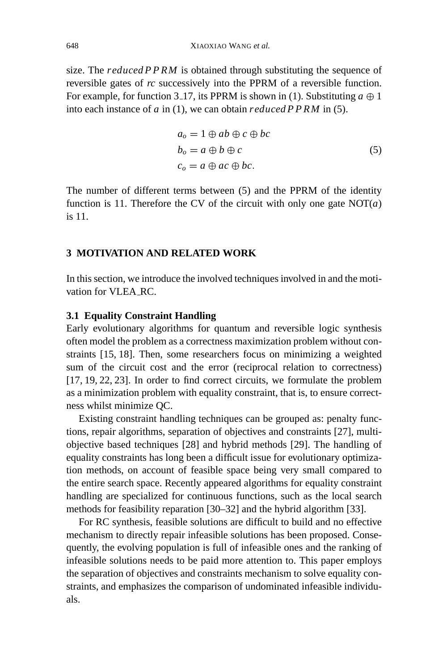size. The *reduced P P RM* is obtained through substituting the sequence of reversible gates of *rc* successively into the PPRM of a reversible function. For example, for function 3.17, its PPRM is shown in (1). Substituting  $a \oplus 1$ into each instance of *a* in (1), we can obtain *reduced P P RM* in (5).

$$
a_o = 1 \oplus ab \oplus c \oplus bc
$$
  
\n
$$
b_o = a \oplus b \oplus c
$$
  
\n
$$
c_o = a \oplus ac \oplus bc.
$$
  
\n(5)

The number of different terms between (5) and the PPRM of the identity function is 11. Therefore the CV of the circuit with only one gate  $NOT(a)$ is 11.

### **3 MOTIVATION AND RELATED WORK**

In this section, we introduce the involved techniques involved in and the motivation for VLEA RC.

### **3.1 Equality Constraint Handling**

Early evolutionary algorithms for quantum and reversible logic synthesis often model the problem as a correctness maximization problem without constraints [15, 18]. Then, some researchers focus on minimizing a weighted sum of the circuit cost and the error (reciprocal relation to correctness) [17, 19, 22, 23]. In order to find correct circuits, we formulate the problem as a minimization problem with equality constraint, that is, to ensure correctness whilst minimize QC.

Existing constraint handling techniques can be grouped as: penalty functions, repair algorithms, separation of objectives and constraints [27], multiobjective based techniques [28] and hybrid methods [29]. The handling of equality constraints has long been a difficult issue for evolutionary optimization methods, on account of feasible space being very small compared to the entire search space. Recently appeared algorithms for equality constraint handling are specialized for continuous functions, such as the local search methods for feasibility reparation [30–32] and the hybrid algorithm [33].

For RC synthesis, feasible solutions are difficult to build and no effective mechanism to directly repair infeasible solutions has been proposed. Consequently, the evolving population is full of infeasible ones and the ranking of infeasible solutions needs to be paid more attention to. This paper employs the separation of objectives and constraints mechanism to solve equality constraints, and emphasizes the comparison of undominated infeasible individuals.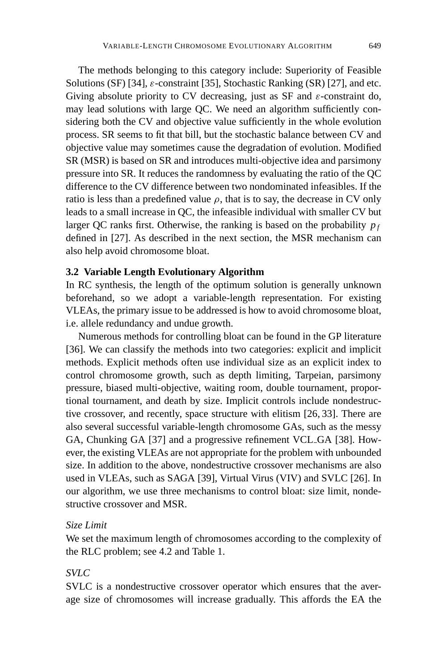The methods belonging to this category include: Superiority of Feasible Solutions (SF) [34],  $\varepsilon$ -constraint [35], Stochastic Ranking (SR) [27], and etc. Giving absolute priority to CV decreasing, just as SF and  $\varepsilon$ -constraint do, may lead solutions with large QC. We need an algorithm sufficiently considering both the CV and objective value sufficiently in the whole evolution process. SR seems to fit that bill, but the stochastic balance between CV and objective value may sometimes cause the degradation of evolution. Modified SR (MSR) is based on SR and introduces multi-objective idea and parsimony pressure into SR. It reduces the randomness by evaluating the ratio of the QC difference to the CV difference between two nondominated infeasibles. If the ratio is less than a predefined value  $\rho$ , that is to say, the decrease in CV only leads to a small increase in QC, the infeasible individual with smaller CV but larger QC ranks first. Otherwise, the ranking is based on the probability  $p_f$ defined in [27]. As described in the next section, the MSR mechanism can also help avoid chromosome bloat.

### **3.2 Variable Length Evolutionary Algorithm**

In RC synthesis, the length of the optimum solution is generally unknown beforehand, so we adopt a variable-length representation. For existing VLEAs, the primary issue to be addressed is how to avoid chromosome bloat, i.e. allele redundancy and undue growth.

Numerous methods for controlling bloat can be found in the GP literature [36]. We can classify the methods into two categories: explicit and implicit methods. Explicit methods often use individual size as an explicit index to control chromosome growth, such as depth limiting, Tarpeian, parsimony pressure, biased multi-objective, waiting room, double tournament, proportional tournament, and death by size. Implicit controls include nondestructive crossover, and recently, space structure with elitism [26, 33]. There are also several successful variable-length chromosome GAs, such as the messy GA, Chunking GA [37] and a progressive refinement VCL GA [38]. However, the existing VLEAs are not appropriate for the problem with unbounded size. In addition to the above, nondestructive crossover mechanisms are also used in VLEAs, such as SAGA [39], Virtual Virus (VIV) and SVLC [26]. In our algorithm, we use three mechanisms to control bloat: size limit, nondestructive crossover and MSR.

# *Size Limit*

We set the maximum length of chromosomes according to the complexity of the RLC problem; see 4.2 and Table 1.

# *SVLC*

SVLC is a nondestructive crossover operator which ensures that the average size of chromosomes will increase gradually. This affords the EA the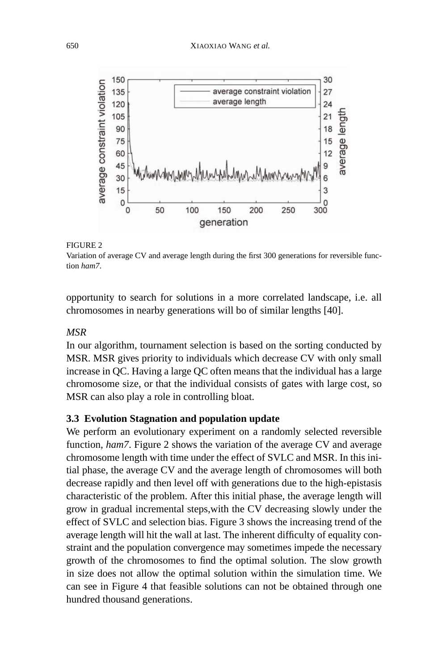#### 650 XIAOXIAO WANG *et al.*



#### FIGURE 2

Variation of average CV and average length during the first 300 generations for reversible function *ham7*.

opportunity to search for solutions in a more correlated landscape, i.e. all chromosomes in nearby generations will bo of similar lengths [40].

# *MSR*

In our algorithm, tournament selection is based on the sorting conducted by MSR. MSR gives priority to individuals which decrease CV with only small increase in QC. Having a large QC often means that the individual has a large chromosome size, or that the individual consists of gates with large cost, so MSR can also play a role in controlling bloat.

### **3.3 Evolution Stagnation and population update**

We perform an evolutionary experiment on a randomly selected reversible function, *ham7*. Figure 2 shows the variation of the average CV and average chromosome length with time under the effect of SVLC and MSR. In this initial phase, the average CV and the average length of chromosomes will both decrease rapidly and then level off with generations due to the high-epistasis characteristic of the problem. After this initial phase, the average length will grow in gradual incremental steps,with the CV decreasing slowly under the effect of SVLC and selection bias. Figure 3 shows the increasing trend of the average length will hit the wall at last. The inherent difficulty of equality constraint and the population convergence may sometimes impede the necessary growth of the chromosomes to find the optimal solution. The slow growth in size does not allow the optimal solution within the simulation time. We can see in Figure 4 that feasible solutions can not be obtained through one hundred thousand generations.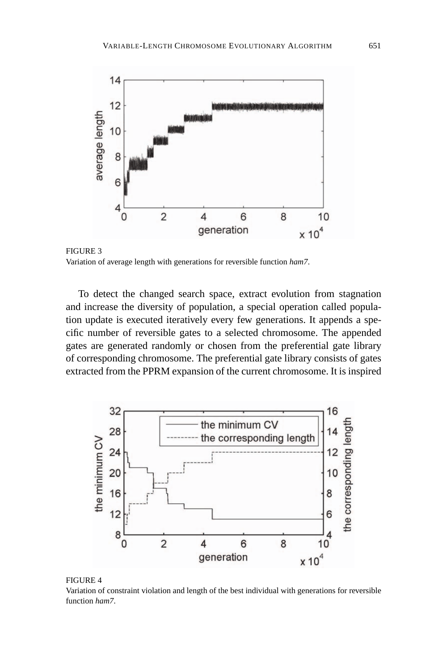

FIGURE 3 Variation of average length with generations for reversible function *ham7*.

To detect the changed search space, extract evolution from stagnation and increase the diversity of population, a special operation called population update is executed iteratively every few generations. It appends a specific number of reversible gates to a selected chromosome. The appended gates are generated randomly or chosen from the preferential gate library of corresponding chromosome. The preferential gate library consists of gates extracted from the PPRM expansion of the current chromosome. It is inspired



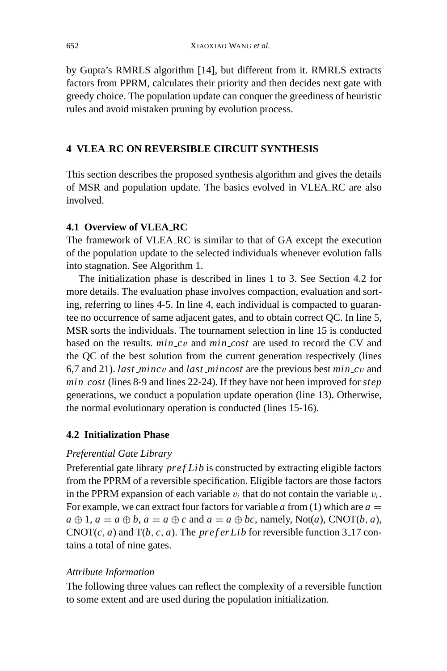by Gupta's RMRLS algorithm [14], but different from it. RMRLS extracts factors from PPRM, calculates their priority and then decides next gate with greedy choice. The population update can conquer the greediness of heuristic rules and avoid mistaken pruning by evolution process.

# **4 VLEA RC ON REVERSIBLE CIRCUIT SYNTHESIS**

This section describes the proposed synthesis algorithm and gives the details of MSR and population update. The basics evolved in VLEA RC are also involved.

# **4.1 Overview of VLEA RC**

The framework of VLEA RC is similar to that of GA except the execution of the population update to the selected individuals whenever evolution falls into stagnation. See Algorithm 1.

The initialization phase is described in lines 1 to 3. See Section 4.2 for more details. The evaluation phase involves compaction, evaluation and sorting, referring to lines 4-5. In line 4, each individual is compacted to guarantee no occurrence of same adjacent gates, and to obtain correct QC. In line 5, MSR sorts the individuals. The tournament selection in line 15 is conducted based on the results. *min c*v and *min cost* are used to record the CV and the QC of the best solution from the current generation respectively (lines 6,7 and 21). *last minc*v and *last mincost* are the previous best *min c*v and *min cost* (lines 8-9 and lines 22-24). If they have not been improved for *step* generations, we conduct a population update operation (line 13). Otherwise, the normal evolutionary operation is conducted (lines 15-16).

# **4.2 Initialization Phase**

# *Preferential Gate Library*

Preferential gate library *pref Lib* is constructed by extracting eligible factors from the PPRM of a reversible specification. Eligible factors are those factors in the PPRM expansion of each variable  $v_i$  that do not contain the variable  $v_i$ . For example, we can extract four factors for variable  $a$  from (1) which are  $a =$  $a \oplus 1$ ,  $a = a \oplus b$ ,  $a = a \oplus c$  and  $a = a \oplus bc$ , namely, Not(*a*), CNOT(*b*, *a*),  $CNOT(c, a)$  and  $T(b, c, a)$ . The *prefer Lib* for reversible function 3.17 contains a total of nine gates.

# *Attribute Information*

The following three values can reflect the complexity of a reversible function to some extent and are used during the population initialization.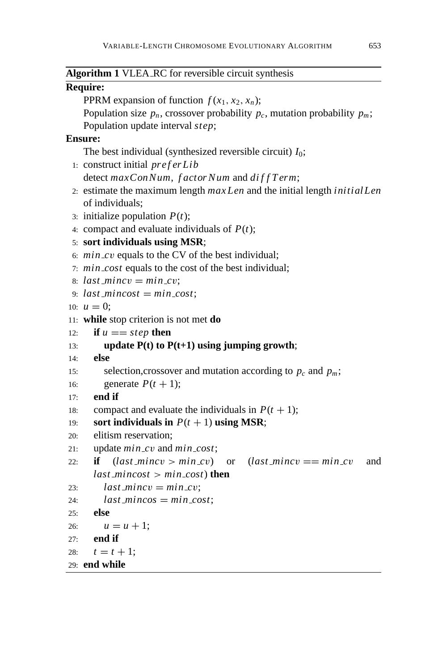| Algorithm 1 VLEA_RC for reversible circuit synthesis                                 |
|--------------------------------------------------------------------------------------|
| <b>Require:</b>                                                                      |
| PPRM expansion of function $f(x_1, x_2, x_n)$ ;                                      |
| Population size $p_n$ , crossover probability $p_c$ , mutation probability $p_m$ ;   |
| Population update interval step;                                                     |
| <b>Ensure:</b>                                                                       |
| The best individual (synthesized reversible circuit) $I_0$ ;                         |
| 1: construct initial preferLib                                                       |
| detect maxConNum, factorNum and diffTerm;                                            |
| 2. estimate the maximum length $maxLen$ and the initial length <i>initial Len</i>    |
| of individuals;                                                                      |
| 3: initialize population $P(t)$ ;                                                    |
| 4: compact and evaluate individuals of $P(t)$ ;                                      |
| 5: sort individuals using MSR;                                                       |
| 6: $min\_cv$ equals to the CV of the best individual;                                |
| 7: min_cost equals to the cost of the best individual;                               |
| 8: $last\_minor = min\_cv;$                                                          |
| 9. $last\_mincost = min\_cost$ ;                                                     |
| 10: $u = 0$ ;                                                                        |
| 11: while stop criterion is not met do                                               |
| if $u == step$ then<br>12:                                                           |
| update $P(t)$ to $P(t+1)$ using jumping growth;<br>13:                               |
| else<br>14:                                                                          |
| selection, crossover and mutation according to $p_c$ and $p_m$ ;<br>15:              |
| generate $P(t + 1)$ ;<br>16:                                                         |
| end if<br>17:                                                                        |
| compact and evaluate the individuals in $P(t + 1)$ ;<br>18:                          |
| sort individuals in $P(t + 1)$ using MSR;<br>19:                                     |
| elitism reservation;<br>20:                                                          |
| update min_cv and min_cost;<br>21:                                                   |
| $(last\_mincv > min\_cv)$<br>if<br>$last_mincv == min_cv$<br>and<br>22:<br><b>or</b> |
| <i>last_mincost &gt; min_cost</i> ) <b>then</b>                                      |
| $last\_mincv = min\_cv;$<br>23:                                                      |
| $last\_mincos = min\_cost;$<br>24:                                                   |
| else<br>25:                                                                          |
| $u = u + 1;$<br>26:                                                                  |
| end if<br>27:                                                                        |
| $t = t + 1;$<br>28:                                                                  |
| 29: end while                                                                        |

<u> Louis Communication de la proprie</u>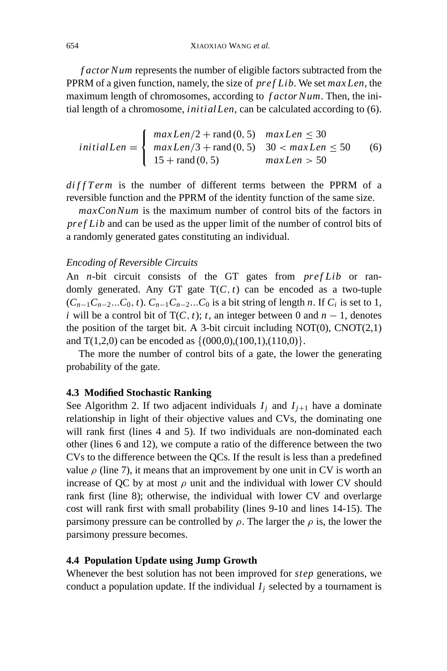*f actor Num* represents the number of eligible factors subtracted from the PPRM of a given function, namely, the size of *pref Lib*. We set *maxLen*, the maximum length of chromosomes, according to *f actor Num*. Then, the initial length of a chromosome, *initialLen*, can be calculated according to (6).

$$
initialLen = \begin{cases} maxLen/2 + rand(0, 5) & maxLen \le 30 \\ maxLen/3 + rand(0, 5) & 30 < maxLen \le 50 \\ 15 + rand(0, 5) & maxLen > 50 \end{cases}
$$
 (6)

*di f f T erm* is the number of different terms between the PPRM of a reversible function and the PPRM of the identity function of the same size.

*maxConNum* is the maximum number of control bits of the factors in *pref Lib* and can be used as the upper limit of the number of control bits of a randomly generated gates constituting an individual.

### *Encoding of Reversible Circuits*

An *n*-bit circuit consists of the GT gates from *pref Lib* or randomly generated. Any GT gate  $T(C, t)$  can be encoded as a two-tuple  $(C_{n-1}C_{n-2}...C_0, t)$ .  $C_{n-1}C_{n-2}...C_0$  is a bit string of length *n*. If  $C_i$  is set to 1, *i* will be a control bit of  $T(C, t)$ ; *t*, an integer between 0 and  $n - 1$ , denotes the position of the target bit. A 3-bit circuit including  $NOT(0)$ ,  $CNOT(2,1)$ and  $T(1,2,0)$  can be encoded as  $\{(000,0),(100,1),(110,0)\}.$ 

The more the number of control bits of a gate, the lower the generating probability of the gate.

#### **4.3 Modified Stochastic Ranking**

See Algorithm 2. If two adjacent individuals  $I_j$  and  $I_{j+1}$  have a dominate relationship in light of their objective values and CVs, the dominating one will rank first (lines 4 and 5). If two individuals are non-dominated each other (lines 6 and 12), we compute a ratio of the difference between the two CVs to the difference between the QCs. If the result is less than a predefined value  $\rho$  (line 7), it means that an improvement by one unit in CV is worth an increase of QC by at most  $\rho$  unit and the individual with lower CV should rank first (line 8); otherwise, the individual with lower CV and overlarge cost will rank first with small probability (lines 9-10 and lines 14-15). The parsimony pressure can be controlled by  $\rho$ . The larger the  $\rho$  is, the lower the parsimony pressure becomes.

#### **4.4 Population Update using Jump Growth**

Whenever the best solution has not been improved for *step* generations, we conduct a population update. If the individual  $I_i$  selected by a tournament is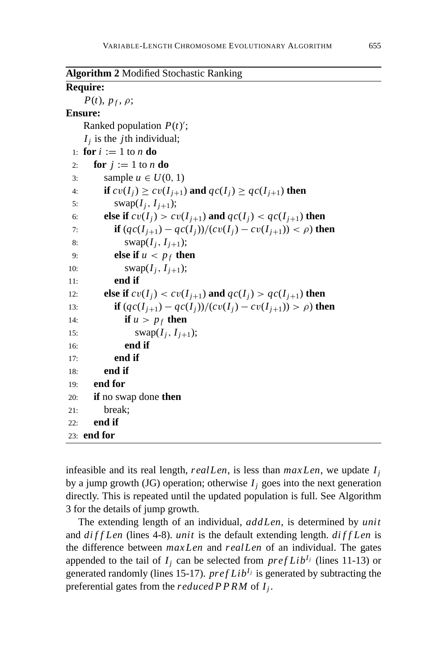| <b>Algorithm 2 Modified Stochastic Ranking</b> |  |  |  |
|------------------------------------------------|--|--|--|
|------------------------------------------------|--|--|--|

### **Require:**

 $P(t)$ ,  $p_f$ ,  $\rho$ ; **Ensure:** Ranked population  $P(t)$ ;  $I_i$  is the *j*th individual; 1: **for**  $i := 1$  to *n* **do** 2: **for**  $i := 1$  to *n* **do** 3: sample  $u \in U(0, 1)$ 4: **if**  $cv(I_i) \geq cv(I_{i+1})$  and  $qc(I_i) \geq qc(I_{i+1})$  then 5: swap $(I_i, I_{i+1})$ ; 6: **else if**  $cv(I_i) > cv(I_{i+1})$  and  $qc(I_i) < qc(I_{i+1})$  then 7: **if**  $(qc(I_{i+1}) - qc(I_i))/(cv(I_i) - cv(I_{i+1})) < \rho$ ) then 8: swap( $I_i$ ,  $I_{i+1}$ ); 9: **else if**  $u < p_f$  **then** 10: swap $(I_i, I_{i+1});$ 11: **end if** 12: **else if**  $cv(I_i) < cv(I_{i+1})$  and  $qc(I_i) > qc(I_{i+1})$  then 13: **if**  $(qc(I_{i+1}) - qc(I_i))/(cv(I_i) - cv(I_{i+1})) > \rho$ ) **then** 14: **if**  $u > p_f$  **then** 15: swap( $I_i$ ,  $I_{i+1}$ ); 16: **end if** 17: **end if** 18: **end if** 19: **end for** 20: **if** no swap done **then** 21: break; 22: **end if** 23: **end for**

infeasible and its real length, *realLen*, is less than *maxLen*, we update *Ij* by a jump growth (JG) operation; otherwise  $I_i$  goes into the next generation directly. This is repeated until the updated population is full. See Algorithm 3 for the details of jump growth.

The extending length of an individual, *addLen*, is determined by *unit* and *di f f Len* (lines 4-8). *unit* is the default extending length. *di f f Len* is the difference between *maxLen* and *realLen* of an individual. The gates appended to the tail of  $I_j$  can be selected from  $prefLib^{I_j}$  (lines 11-13) or generated randomly (lines 15-17).  $prefLib<sup>I<sub>j</sub></sup>$  is generated by subtracting the preferential gates from the *reduced P P RM* of *Ij* .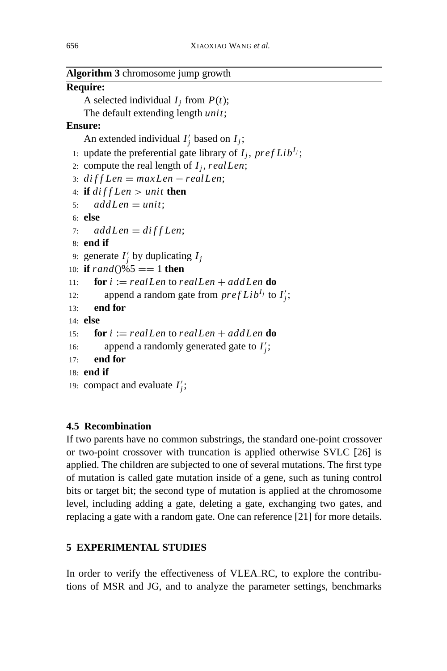| Algorithm 3 chromosome jump growth |  |  |  |
|------------------------------------|--|--|--|
|------------------------------------|--|--|--|

# **Require:**

A selected individual  $I_j$  from  $P(t)$ ;

The default extending length *unit*;

# **Ensure:**

An extended individual  $I'_j$  based on  $I_j$ ;

- 1: update the preferential gate library of  $I_i$ , pref Lib<sup> $I_j$ </sup>;
- 2: compute the real length of  $I_i$ , real Len;
- 3: *di f f Len* = *maxLen* − *realLen*;
- 4: **if** *di f f Len* > *unit* **then**

```
5: addLen = unit;
```
6: **else**

```
7: addLen = diffLen;
```
8: **end if**

```
9: generate I'_j by duplicating I_j
```

```
10: if rand()%5 = 1 then
```

```
11: for i := realLen to realLen + addLen do
```

```
12: append a random gate from prefLib^{I_j} to I'_j;
```

```
13: end for
```

```
14: else
```

```
15: for i := realLen to realLen + addLen do
```

```
16: append a randomly generated gate to I'_j;
```

```
17: end for
```

```
18: end if
```

```
19: compact and evaluate I'_j;
```
# **4.5 Recombination**

If two parents have no common substrings, the standard one-point crossover or two-point crossover with truncation is applied otherwise SVLC [26] is applied. The children are subjected to one of several mutations. The first type of mutation is called gate mutation inside of a gene, such as tuning control bits or target bit; the second type of mutation is applied at the chromosome level, including adding a gate, deleting a gate, exchanging two gates, and replacing a gate with a random gate. One can reference [21] for more details.

# **5 EXPERIMENTAL STUDIES**

In order to verify the effectiveness of VLEA RC, to explore the contributions of MSR and JG, and to analyze the parameter settings, benchmarks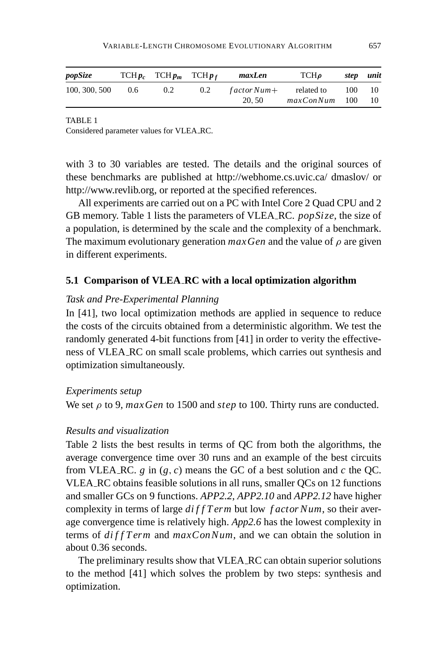| popSize       |               | $TCHp_c$ $TCHp_m$ $TCHp_f$ |               | maxLen       | <b>TCH</b> o       | step unit |     |
|---------------|---------------|----------------------------|---------------|--------------|--------------------|-----------|-----|
| 100, 300, 500 | $0.6^{\circ}$ | $0.2^{\circ}$              | $0.2^{\circ}$ | $factorNum+$ | related to         | 100       | -10 |
|               |               |                            |               | 20.50        | $maxConNum$ 100 10 |           |     |

Considered parameter values for VLEA RC.

with 3 to 30 variables are tested. The details and the original sources of these benchmarks are published at http://webhome.cs.uvic.ca/ dmaslov/ or http://www.revlib.org, or reported at the specified references.

All experiments are carried out on a PC with Intel Core 2 Quad CPU and 2 GB memory. Table 1 lists the parameters of VLEA RC. *popSize*, the size of a population, is determined by the scale and the complexity of a benchmark. The maximum evolutionary generation  $maxGen$  and the value of  $\rho$  are given in different experiments.

# **5.1 Comparison of VLEA RC with a local optimization algorithm**

### *Task and Pre-Experimental Planning*

In [41], two local optimization methods are applied in sequence to reduce the costs of the circuits obtained from a deterministic algorithm. We test the randomly generated 4-bit functions from [41] in order to verity the effectiveness of VLEA RC on small scale problems, which carries out synthesis and optimization simultaneously.

#### *Experiments setup*

We set ρ to 9, *maxGen* to 1500 and *step* to 100. Thirty runs are conducted.

### *Results and visualization*

Table 2 lists the best results in terms of QC from both the algorithms, the average convergence time over 30 runs and an example of the best circuits from VLEA RC.  $g$  in  $(g, c)$  means the GC of a best solution and  $c$  the QC. VLEA RC obtains feasible solutions in all runs, smaller QCs on 12 functions and smaller GCs on 9 functions. *APP2.2*, *APP2.10* and *APP2.12* have higher complexity in terms of large *di f f T erm* but low *f actor Num*, so their average convergence time is relatively high. *App2.6* has the lowest complexity in terms of *diff T erm* and  $maxConNum$ , and we can obtain the solution in about 0.36 seconds.

The preliminary results show that VLEA RC can obtain superior solutions to the method [41] which solves the problem by two steps: synthesis and optimization.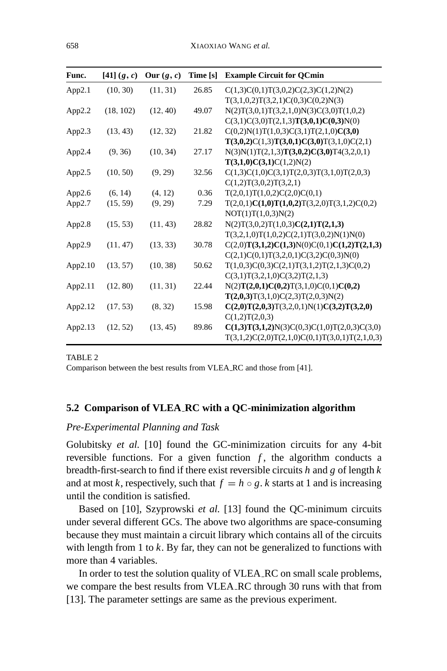| Func.   | [41] (g, c) | Our $(g, c)$ | Time [s] | <b>Example Circuit for QCmin</b>                 |
|---------|-------------|--------------|----------|--------------------------------------------------|
| App2.1  | (10, 30)    | (11, 31)     | 26.85    | C(1,3)C(0,1)T(3,0,2)C(2,3)C(1,2)N(2)             |
|         |             |              |          | T(3,1,0,2)T(3,2,1)C(0,3)C(0,2)N(3)               |
| App2.2  | (18, 102)   | (12, 40)     | 49.07    | $N(2)T(3,0,1)T(3,2,1,0)N(3)C(3,0)T(1,0,2)$       |
|         |             |              |          | $C(3,1)C(3,0)T(2,1,3)T(3,0,1)C(0,3)N(0)$         |
| App2.3  | (13, 43)    | (12, 32)     | 21.82    | $C(0,2)N(1)T(1,0,3)C(3,1)T(2,1,0)C(3,0)$         |
|         |             |              |          | $T(3,0,2)C(1,3)T(3,0,1)C(3,0)T(3,1,0)C(2,1)$     |
| App2.4  | (9, 36)     | (10, 34)     | 27.17    | $N(3)N(1)T(2,1,3)T(3,0,2)C(3,0)T4(3,2,0,1)$      |
|         |             |              |          | T(3,1,0)C(3,1)C(1,2)N(2)                         |
| App2.5  | (10, 50)    | (9, 29)      | 32.56    | $C(1,3)C(1,0)C(3,1)T(2,0,3)T(3,1,0)T(2,0,3)$     |
|         |             |              |          | C(1,2)T(3,0,2)T(3,2,1)                           |
| App2.6  | (6, 14)     | (4, 12)      | 0.36     | T(2,0,1)T(1,0,2)C(2,0)C(0,1)                     |
| App2.7  | (15, 59)    | (9, 29)      | 7.29     | $T(2,0,1)C(1,0)T(1,0,2)T(3,2,0)T(3,1,2)C(0,2)$   |
|         |             |              |          | NOT(1)T(1,0,3)N(2)                               |
| App2.8  | (15, 53)    | (11, 43)     | 28.82    | N(2)T(3,0,2)T(1,0,3)C(2,1)T(2,1,3)               |
|         |             |              |          | $T(3,2,1,0)T(1,0,2)C(2,1)T(3,0,2)N(1)N(0)$       |
| App2.9  | (11, 47)    | (13, 33)     | 30.78    | $C(2,0)T(3,1,2)C(1,3)N(0)C(0,1)C(1,2)T(2,1,3)$   |
|         |             |              |          | $C(2,1)C(0,1)T(3,2,0,1)C(3,2)C(0,3)N(0)$         |
| App2.10 | (13, 57)    | (10, 38)     | 50.62    | $T(1,0,3)C(0,3)C(2,1)T(3,1,2)T(2,1,3)C(0,2)$     |
|         |             |              |          | C(3,1)T(3,2,1,0)C(3,2)T(2,1,3)                   |
| App2.11 | (12, 80)    | (11, 31)     | 22.44    | $N(2)T(2,0,1)C(0,2)T(3,1,0)C(0,1)C(0,2)$         |
|         |             |              |          | T(2,0,3)T(3,1,0)C(2,3)T(2,0,3)N(2)               |
| App2.12 | (17, 53)    | (8, 32)      | 15.98    | $C(2,0)T(2,0,3)T(3,2,0,1)N(1)C(3,2)T(3,2,0)$     |
|         |             |              |          | C(1,2)T(2,0,3)                                   |
| App2.13 | (12, 52)    | (13, 45)     | 89.86    | $C(1,3)T(3,1,2)N(3)C(0,3)C(1,0)T(2,0,3)C(3,0)$   |
|         |             |              |          | $T(3,1,2)C(2,0)T(2,1,0)C(0,1)T(3,0,1)T(2,1,0,3)$ |

Comparison between the best results from VLEA RC and those from [41].

### **5.2 Comparison of VLEA RC with a QC-minimization algorithm**

#### *Pre-Experimental Planning and Task*

Golubitsky *et al.* [10] found the GC-minimization circuits for any 4-bit reversible functions. For a given function  $f$ , the algorithm conducts a breadth-first-search to find if there exist reversible circuits *h* and *g* of length *k* and at most *k*, respectively, such that  $f = h \circ g$ . *k* starts at 1 and is increasing until the condition is satisfied.

Based on [10], Szyprowski *et al.* [13] found the QC-minimum circuits under several different GCs. The above two algorithms are space-consuming because they must maintain a circuit library which contains all of the circuits with length from 1 to *k*. By far, they can not be generalized to functions with more than 4 variables.

In order to test the solution quality of VLEA RC on small scale problems, we compare the best results from VLEA RC through 30 runs with that from [13]. The parameter settings are same as the previous experiment.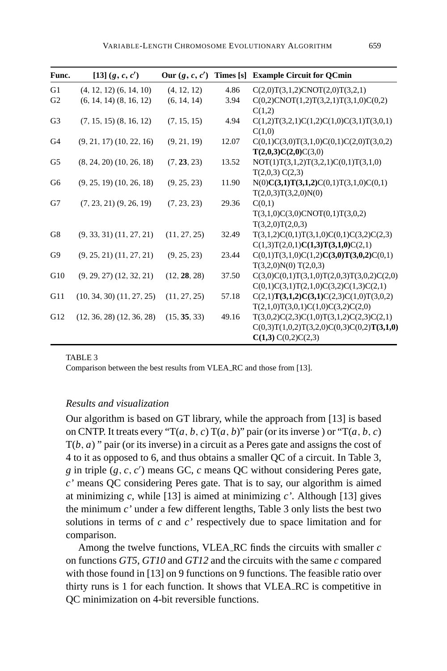| Func.          | [13] (g, c, c')               | Our $(g, c, c')$ |       | Times [s] Example Circuit for QCmin          |
|----------------|-------------------------------|------------------|-------|----------------------------------------------|
| G1             | $(4, 12, 12)$ $(6, 14, 10)$   | (4, 12, 12)      | 4.86  | C(2,0)T(3,1,2)CNOT(2,0)T(3,2,1)              |
| G <sub>2</sub> | $(6, 14, 14)$ $(8, 16, 12)$   | (6, 14, 14)      | 3.94  | C(0,2)CNOT(1,2)T(3,2,1)T(3,1,0)C(0,2)        |
|                |                               |                  |       | C(1,2)                                       |
| G <sub>3</sub> | $(7, 15, 15)$ $(8, 16, 12)$   | (7, 15, 15)      | 4.94  | $C(1,2)T(3,2,1)C(1,2)C(1,0)C(3,1)T(3,0,1)$   |
|                |                               |                  |       | C(1,0)                                       |
| G <sub>4</sub> | $(9, 21, 17)$ $(10, 22, 16)$  | (9, 21, 19)      | 12.07 | $C(0,1)C(3,0)T(3,1,0)C(0,1)C(2,0)T(3,0,2)$   |
|                |                               |                  |       | T(2,0,3)C(2,0)C(3,0)                         |
| G <sub>5</sub> | $(8, 24, 20)$ $(10, 26, 18)$  | (7, 23, 23)      | 13.52 | NOT(1)T(3,1,2)T(3,2,1)C(0,1)T(3,1,0)         |
|                |                               |                  |       | T(2,0,3) C(2,3)                              |
| G <sub>6</sub> | $(9, 25, 19)$ $(10, 26, 18)$  | (9, 25, 23)      | 11.90 | $N(0)C(3,1)T(3,1,2)C(0,1)T(3,1,0)C(0,1)$     |
|                |                               |                  |       | T(2,0,3)T(3,2,0)N(0)                         |
| G7             | $(7, 23, 21)$ $(9, 26, 19)$   | (7, 23, 23)      | 29.36 | C(0,1)                                       |
|                |                               |                  |       | T(3,1,0)C(3,0)CNOT(0,1)T(3,0,2)              |
|                |                               |                  |       | T(3,2,0)T(2,0,3)                             |
| G8             | $(9, 33, 31)$ $(11, 27, 21)$  | (11, 27, 25)     | 32.49 | $T(3,1,2)C(0,1)T(3,1,0)C(0,1)C(3,2)C(2,3)$   |
|                |                               |                  |       | C(1,3)T(2,0,1)C(1,3)T(3,1,0)C(2,1)           |
| G9             | $(9, 25, 21)$ $(11, 27, 21)$  | (9, 25, 23)      | 23.44 | $C(0,1)T(3,1,0)C(1,2)C(3,0)T(3,0,2)C(0,1)$   |
|                |                               |                  |       | T(3,2,0)N(0) T(2,0,3)                        |
| G10            | $(9, 29, 27)$ $(12, 32, 21)$  | (12, 28, 28)     | 37.50 | $C(3,0)C(0,1)T(3,1,0)T(2,0,3)T(3,0,2)C(2,0)$ |
|                |                               |                  |       | $C(0,1)C(3,1)T(2,1,0)C(3,2)C(1,3)C(2,1)$     |
| G11            | $(10, 34, 30)$ $(11, 27, 25)$ | (11, 27, 25)     | 57.18 | $C(2,1)T(3,1,2)C(3,1)C(2,3)C(1,0)T(3,0,2)$   |
|                |                               |                  |       | T(2,1,0)T(3,0,1)C(1,0)C(3,2)C(2,0)           |
| G12            | $(12, 36, 28)$ $(12, 36, 28)$ | (15, 35, 33)     | 49.16 | $T(3,0,2)C(2,3)C(1,0)T(3,1,2)C(2,3)C(2,1)$   |
|                |                               |                  |       | $C(0,3)T(1,0,2)T(3,2,0)C(0,3)C(0,2)T(3,1,0)$ |
|                |                               |                  |       | C(1,3) C(0,2) C(2,3)                         |

Comparison between the best results from VLEA RC and those from [13].

### *Results and visualization*

Our algorithm is based on GT library, while the approach from [13] is based on CNTP. It treats every " $T(a, b, c) T(a, b)$ " pair (or its inverse) or " $T(a, b, c)$ T(*b*, *a*) " pair (or its inverse) in a circuit as a Peres gate and assigns the cost of 4 to it as opposed to 6, and thus obtains a smaller QC of a circuit. In Table 3,  $g$  in triple  $(g, c, c')$  means GC,  $c$  means QC without considering Peres gate, *c'* means QC considering Peres gate. That is to say, our algorithm is aimed at minimizing *c*, while [13] is aimed at minimizing *c'*. Although [13] gives the minimum *c'* under a few different lengths, Table 3 only lists the best two solutions in terms of *c* and *c'* respectively due to space limitation and for comparison.

Among the twelve functions, VLEA RC finds the circuits with smaller *c* on functions *GT5*, *GT10* and *GT12* and the circuits with the same *c* compared with those found in [13] on 9 functions on 9 functions. The feasible ratio over thirty runs is 1 for each function. It shows that VLEA RC is competitive in QC minimization on 4-bit reversible functions.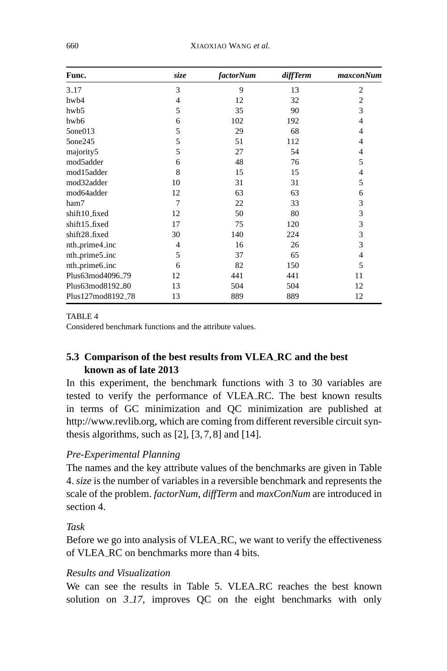| Func.                        | size | <i>factorNum</i> | diffTerm | maxconNum      |
|------------------------------|------|------------------|----------|----------------|
| $3-17$                       | 3    | 9                | 13       | 2              |
| hwb4                         | 4    | 12               | 32       | $\overline{2}$ |
| hwb5                         | 5    | 35               | 90       | 3              |
| hwb6                         | 6    | 102              | 192      | 4              |
| 5one013                      | 5    | 29               | 68       | 4              |
| 5one245                      | 5    | 51               | 112      | 4              |
| majority5                    | 5    | 27               | 54       | 4              |
| mod5adder                    | 6    | 48               | 76       | 5              |
| mod15adder                   | 8    | 15               | 15       | 4              |
| mod32adder                   | 10   | 31               | 31       | 5              |
| mod64adder                   | 12   | 63               | 63       | 6              |
| ham7                         | 7    | 22               | 33       | 3              |
| shift10_fixed                | 12   | 50               | 80       | 3              |
| shift15_fixed                | 17   | 75               | 120      | 3              |
| shift28_fixed                | 30   | 140              | 224      | 3              |
| nth_prime4_inc               | 4    | 16               | 26       | 3              |
| nth_prime5_inc               | 5    | 37               | 65       | 4              |
| nth_prime6_inc               | 6    | 82               | 150      | 5              |
| Plus63mod4096_79             | 12   | 441              | 441      | 11             |
| Plus63mod8192 <sub>-80</sub> | 13   | 504              | 504      | 12             |
| Plus127mod8192_78            | 13   | 889              | 889      | 12             |

Considered benchmark functions and the attribute values.

# **5.3 Comparison of the best results from VLEA RC and the best known as of late 2013**

In this experiment, the benchmark functions with 3 to 30 variables are tested to verify the performance of VLEA RC. The best known results in terms of GC minimization and QC minimization are published at http://www.revlib.org, which are coming from different reversible circuit synthesis algorithms, such as  $[2]$ ,  $[3, 7, 8]$  and  $[14]$ .

# *Pre-Experimental Planning*

The names and the key attribute values of the benchmarks are given in Table 4. *size* is the number of variables in a reversible benchmark and represents the scale of the problem. *factorNum*, *diffTerm* and *maxConNum* are introduced in section 4.

# *Task*

Before we go into analysis of VLEA RC, we want to verify the effectiveness of VLEA RC on benchmarks more than 4 bits.

# *Results and Visualization*

We can see the results in Table 5. VLEA RC reaches the best known solution on *3 17*, improves QC on the eight benchmarks with only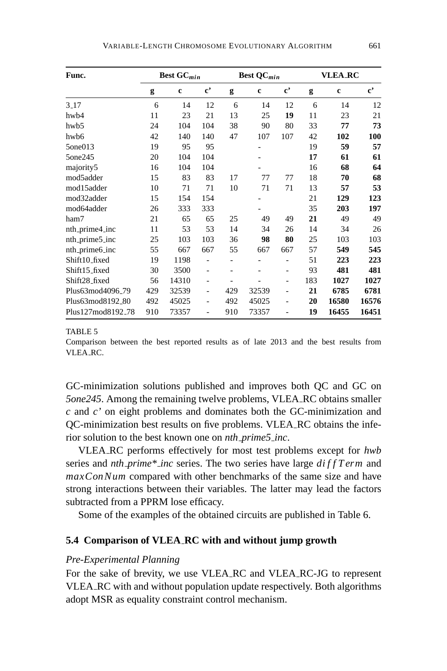| Func.                         |     | Best GC <sub>min</sub> |                       |                | <b>Best QC</b> $min$ |                          |     | <b>VLEA_RC</b> |                        |
|-------------------------------|-----|------------------------|-----------------------|----------------|----------------------|--------------------------|-----|----------------|------------------------|
|                               | g   | c                      | $\mathbf{c}^{\prime}$ | g              | c                    | $\mathbf{c}^{\ast}$      | g   | c              | $\mathbf{c}^{\bullet}$ |
| $3-17$                        | 6   | 14                     | 12                    | 6              | 14                   | 12                       | 6   | 14             | 12                     |
| hwb4                          | 11  | 23                     | 21                    | 13             | 25                   | 19                       | 11  | 23             | 21                     |
| hwb5                          | 24  | 104                    | 104                   | 38             | 90                   | 80                       | 33  | 77             | 73                     |
| hwb6                          | 42  | 140                    | 140                   | 47             | 107                  | 107                      | 42  | 102            | 100                    |
| 5one013                       | 19  | 95                     | 95                    |                |                      |                          | 19  | 59             | 57                     |
| 5one245                       | 20  | 104                    | 104                   |                |                      |                          | 17  | 61             | 61                     |
| majority5                     | 16  | 104                    | 104                   |                |                      |                          | 16  | 68             | 64                     |
| mod5adder                     | 15  | 83                     | 83                    | 17             | 77                   | 77                       | 18  | 70             | 68                     |
| mod15adder                    | 10  | 71                     | 71                    | 10             | 71                   | 71                       | 13  | 57             | 53                     |
| mod32adder                    | 15  | 154                    | 154                   |                |                      |                          | 21  | 129            | 123                    |
| mod64adder                    | 26  | 333                    | 333                   |                |                      |                          | 35  | 203            | 197                    |
| ham7                          | 21  | 65                     | 65                    | 25             | 49                   | 49                       | 21  | 49             | 49                     |
| nth_prime4_inc                | 11  | 53                     | 53                    | 14             | 34                   | 26                       | 14  | 34             | 26                     |
| nth_prime5_inc                | 25  | 103                    | 103                   | 36             | 98                   | 80                       | 25  | 103            | 103                    |
| nth_prime6_inc                | 55  | 667                    | 667                   | 55             | 667                  | 667                      | 57  | 549            | 545                    |
| Shift10_fixed                 | 19  | 1198                   |                       | $\overline{a}$ |                      | $\overline{a}$           | 51  | 223            | 223                    |
| Shift15_fixed                 | 30  | 3500                   | ۰                     |                |                      | ۰                        | 93  | 481            | 481                    |
| Shift28_fixed                 | 56  | 14310                  |                       |                |                      | $\overline{\phantom{0}}$ | 183 | 1027           | 1027                   |
| Plus63mod4096 <sub>-79</sub>  | 429 | 32539                  | ۰                     | 429            | 32539                | $\overline{\phantom{0}}$ | 21  | 6785           | 6781                   |
| Plus63mod8192_80              | 492 | 45025                  | $\overline{a}$        | 492            | 45025                | $\overline{\phantom{0}}$ | 20  | 16580          | 16576                  |
| Plus127mod8192 <sub>-78</sub> | 910 | 73357                  |                       | 910            | 73357                |                          | 19  | 16455          | 16451                  |

Comparison between the best reported results as of late 2013 and the best results from VLEA RC.

GC-minimization solutions published and improves both QC and GC on *5one245*. Among the remaining twelve problems, VLEA RC obtains smaller *c* and *c'* on eight problems and dominates both the GC-minimization and QC-minimization best results on five problems. VLEA RC obtains the inferior solution to the best known one on *nth prime5 inc*.

VLEA RC performs effectively for most test problems except for *hwb* series and *nth prime\* inc* series. The two series have large *di f f T erm* and *maxConNum* compared with other benchmarks of the same size and have strong interactions between their variables. The latter may lead the factors subtracted from a PPRM lose efficacy.

Some of the examples of the obtained circuits are published in Table 6.

### **5.4 Comparison of VLEA RC with and without jump growth**

# *Pre-Experimental Planning*

For the sake of brevity, we use VLEA RC and VLEA RC-JG to represent VLEA RC with and without population update respectively. Both algorithms adopt MSR as equality constraint control mechanism.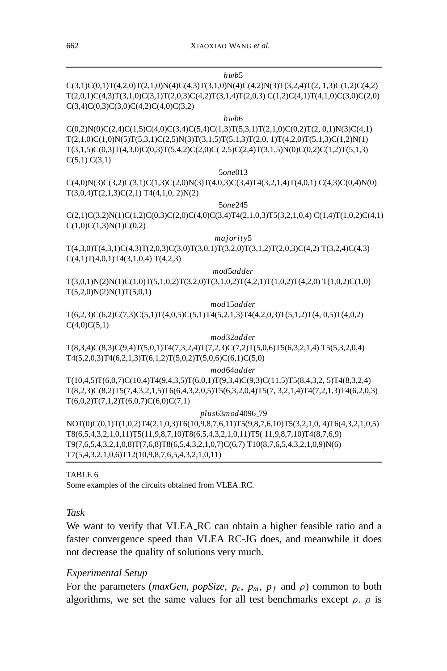# C(3,1)C(0,1)T(4,2,0)T(2,1,0)N(4)C(4,3)T(3,1,0)N(4)C(4,2)N(3)T(3,2,4)T(2, 1,3)C(1,2)C(4,2) T(2,0,1)C(4,3)T(3,1,0)C(3,1)T(2,0,3)C(4,2)T(3,1,4)T(2,0,3) C(1,2)C(4,1)T(4,1,0)C(3,0)C(2,0)  $C(3,4)C(0,3)C(3,0)C(4,2)C(4,0)C(3,2)$ *h*w*b*6  $C(0,2)N(0)C(2,4)C(1,5)C(4,0)C(3,4)C(5,4)C(1,3)T(5,3,1)T(2,1,0)C(0,2)T(2,0,1)N(3)C(4,1)$ T(2,1,0)C(1,0)N(5)T(5,3,1)C(2,5)N(3)T(3,1,5)T(5,1,3)T(2,0, 1)T(4,2,0)T(5,1,3)C(1,2)N(1) T(3,1,5)C(0,3)T(4,3,0)C(0,3)T(5,4,2)C(2,0)C( 2,5)C(2,4)T(3,1,5)N(0)C(0,2)C(1,2)T(5,1,3)  $C(5,1) C(3,1)$ 5*one*013 C(4,0)N(3)C(3,2)C(3,1)C(1,3)C(2,0)N(3)T(4,0,3)C(3,4)T4(3,2,1,4)T(4,0,1) C(4,3)C(0,4)N(0)  $T(3,0,4)T(2,1,3)C(2,1) T4(4,1,0,2)N(2)$ 5*one*245 C(2,1)C(3,2)N(1)C(1,2)C(0,3)C(2,0)C(4,0)C(3,4)T4(2,1,0,3)T5(3,2,1,0,4) C(1,4)T(1,0,2)C(4,1)  $C(1,0)C(1,3)N(1)C(0,2)$ *majority*5 T(4,3,0)T(4,3,1)C(4,3)T(2,0,3)C(3,0)T(3,0,1)T(3,2,0)T(3,1,2)T(2,0,3)C(4,2) T(3,2,4)C(4,3)  $C(4,1)T(4,0,1)T4(3,1,0,4) T(4,2,3)$ *mod*5*adder* T(3,0,1)N(2)N(1)C(1,0)T(5,1,0,2)T(3,2,0)T(3,1,0,2)T(4,2,1)T(1,0,2)T(4,2,0) T(1,0,2)C(1,0)  $T(5,2,0)N(2)N(1)T(5,0,1)$ *mod*15*adder* T(6,2,3)C(6,2)C(7,3)C(5,1)T(4,0,5)C(5,1)T4(5,2,1,3)T4(4,2,0,3)T(5,1,2)T(4, 0,5)T(4,0,2)  $C(4,0)C(5,1)$ *mod*32*adder* T(8,3,4)C(8,3)C(9,4)T(5,0,1)T4(7,3,2,4)T(7,2,3)C(7,2)T(5,0,6)T5(6,3,2,1,4) T5(5,3,2,0,4) T4(5,2,0,3)T4(6,2,1,3)T(6,1,2)T(5,0,2)T(5,0,6)C(6,1)C(5,0) *mod*64*adder*

T(10,4,5)T(6,0,7)C(10,4)T4(9,4,3,5)T(6,0,1)T(9,3,4)C(9,3)C(11,5)T5(8,4,3,2, 5)T4(8,3,2,4) T(8,2,3)C(8,2)T5(7,4,3,2,1,5)T6(6,4,3,2,0,5)T5(6,3,2,0,4)T5(7, 3,2,1,4)T4(7,2,1,3)T4(6,2,0,3)  $T(6,0,2)T(7,1,2)T(6,0,7)C(6,0)C(7,1)$ 

*plus*63*mod*4096 79 NOT(0)C(0,1)T(1,0,2)T4(2,1,0,3)T6(10,9,8,7,6,11)T5(9,8,7,6,10)T5(3,2,1,0, 4)T6(4,3,2,1,0,5) T8(6,5,4,3,2,1,0,11)T5(11,9,8,7,10)T8(6,5,4,3,2,1,0,11)T5( 11,9,8,7,10)T4(8,7,6,9) T9(7,6,5,4,3,2,1,0,8)T(7,6,8)T8(6,5,4,3,2,1,0,7)C(6,7) T10(8,7,6,5,4,3,2,1,0,9)N(6) T7(5,4,3,2,1,0,6)T12(10,9,8,7,6,5,4,3,2,1,0,11)

### TABLE 6

Some examples of the circuits obtained from VLEA RC.

### *Task*

We want to verify that VLEA RC can obtain a higher feasible ratio and a faster convergence speed than VLEA RC-JG does, and meanwhile it does not decrease the quality of solutions very much.

# *Experimental Setup*

For the parameters (*maxGen*, *popSize*,  $p_c$ ,  $p_m$ ,  $p_f$  and  $\rho$ ) common to both algorithms, we set the same values for all test benchmarks except  $\rho$ .  $\rho$  is

#### *h*w*b*5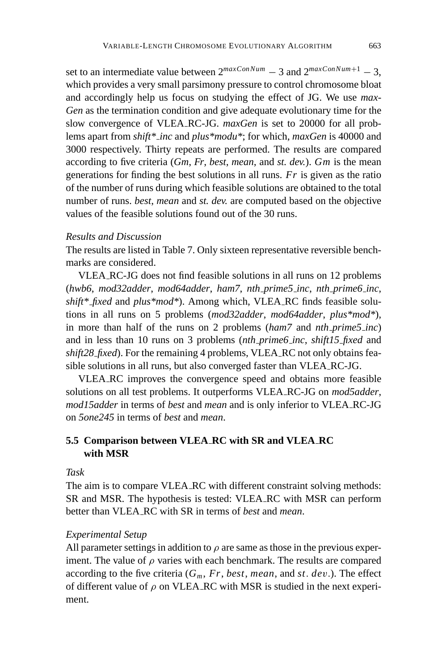set to an intermediate value between  $2^{maxConNum} - 3$  and  $2^{maxConNum+1} - 3$ . which provides a very small parsimony pressure to control chromosome bloat and accordingly help us focus on studying the effect of JG. We use *max-Gen* as the termination condition and give adequate evolutionary time for the slow convergence of VLEA RC-JG. *maxGen* is set to 20000 for all problems apart from *shift\* inc* and *plus\*modu\**; for which, *maxGen* is 40000 and 3000 respectively. Thirty repeats are performed. The results are compared according to five criteria (*Gm*, *Fr*, *best*, *mean*, and *st. dev.*). *Gm* is the mean generations for finding the best solutions in all runs. *Fr* is given as the ratio of the number of runs during which feasible solutions are obtained to the total number of runs. *best*, *mean* and *st. dev.* are computed based on the objective values of the feasible solutions found out of the 30 runs.

### *Results and Discussion*

The results are listed in Table 7. Only sixteen representative reversible benchmarks are considered.

VLEA RC-JG does not find feasible solutions in all runs on 12 problems (*hwb6*, *mod32adder*, *mod64adder*, *ham7*, *nth prime5 inc*, *nth prime6 inc*, *shift\* fixed* and *plus\*mod\**). Among which, VLEA RC finds feasible solutions in all runs on 5 problems (*mod32adder*, *mod64adder*, *plus\*mod\**), in more than half of the runs on 2 problems (*ham7* and *nth prime5 inc*) and in less than 10 runs on 3 problems (*nth prime6 inc*, *shift15 fixed* and *shift28 fixed*). For the remaining 4 problems, VLEA RC not only obtains feasible solutions in all runs, but also converged faster than VLEA RC-JG.

VLEA RC improves the convergence speed and obtains more feasible solutions on all test problems. It outperforms VLEA RC-JG on *mod5adder*, *mod15adder* in terms of *best* and *mean* and is only inferior to VLEA RC-JG on *5one245* in terms of *best* and *mean*.

# **5.5 Comparison between VLEA RC with SR and VLEA RC with MSR**

### *Task*

The aim is to compare VLEA RC with different constraint solving methods: SR and MSR. The hypothesis is tested: VLEA RC with MSR can perform better than VLEA RC with SR in terms of *best* and *mean*.

#### *Experimental Setup*

All parameter settings in addition to  $\rho$  are same as those in the previous experiment. The value of  $\rho$  varies with each benchmark. The results are compared according to the five criteria  $(G_m, Fr, best, mean, and st. dev.)$ . The effect of different value of  $\rho$  on VLEA RC with MSR is studied in the next experiment.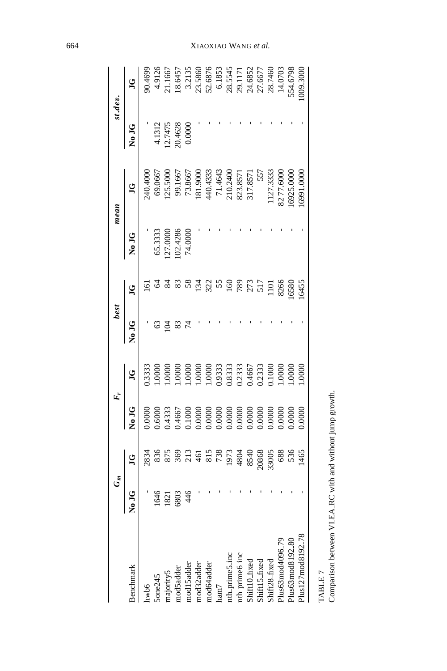|                               | $G_m$ |                                |                                                                                                      |                                                                                                    | best |                |                                            | mean                                                                                                                                             |                                        | st.dev.                                                                                                 |
|-------------------------------|-------|--------------------------------|------------------------------------------------------------------------------------------------------|----------------------------------------------------------------------------------------------------|------|----------------|--------------------------------------------|--------------------------------------------------------------------------------------------------------------------------------------------------|----------------------------------------|---------------------------------------------------------------------------------------------------------|
| Benchmark                     |       | ğ                              | <b>SLON</b>                                                                                          | ğ                                                                                                  |      | $\overline{c}$ | No JG                                      | ğ                                                                                                                                                | No JG                                  | g                                                                                                       |
| hwb6                          |       | 2834                           | 0000                                                                                                 | 3333                                                                                               |      |                |                                            | 10.4000                                                                                                                                          |                                        | 10.4699                                                                                                 |
| $5$ one $245$                 | 991   | 836                            | 0.6000                                                                                               |                                                                                                    |      |                |                                            |                                                                                                                                                  |                                        | 4.9126                                                                                                  |
| majority5                     | 821   |                                |                                                                                                      | 000 <sup>7</sup>                                                                                   | ਣ    |                | 65.3333<br>127.0000<br>102.4286<br>74.0000 | $\begin{array}{c} 69.0667 \\ 125.5000 \\ 99.1667 \\ 73.8667 \\ 181.9000 \\ 181.9000 \\ 440.4333 \\ 71.4643 \\ 210.2400 \\ 210.23671 \end{array}$ | 4.1312<br>12.7475<br>20.4628<br>0.0000 | 21.1667                                                                                                 |
| mod5adder                     | 503   | 875<br>369                     |                                                                                                      | 0000                                                                                               |      |                |                                            |                                                                                                                                                  |                                        | 18.6457                                                                                                 |
| mod15adder                    | 46    | 213                            |                                                                                                      | 00001                                                                                              |      |                |                                            |                                                                                                                                                  |                                        | 3.2135                                                                                                  |
| mod32adder                    |       | 461                            | 0.4333<br>0.4667<br>0.000<br>0.0000                                                                  | 0001                                                                                               |      | 134            |                                            |                                                                                                                                                  |                                        | 23.5860                                                                                                 |
| mod64adder                    |       | 815                            |                                                                                                      |                                                                                                    |      | 322            |                                            |                                                                                                                                                  |                                        |                                                                                                         |
| ham7                          |       | 738<br>1973                    |                                                                                                      |                                                                                                    |      |                |                                            |                                                                                                                                                  |                                        |                                                                                                         |
| nth_prime5_inc                |       |                                |                                                                                                      | $\begin{array}{l} 1.0000 \\ 0.9333 \\ 0.8333 \\ 0.2333 \\ 0.4667 \\ 0.2333 \\ 0.01000 \end{array}$ |      |                |                                            |                                                                                                                                                  |                                        |                                                                                                         |
| nth_prime6_inc                |       |                                |                                                                                                      |                                                                                                    |      | 789            |                                            |                                                                                                                                                  |                                        |                                                                                                         |
| Shift10_fixed                 |       |                                |                                                                                                      |                                                                                                    |      | 273            |                                            | 317.857                                                                                                                                          |                                        |                                                                                                         |
| Shift15_fixed                 |       | 4804<br>8540<br>20868<br>33005 |                                                                                                      |                                                                                                    |      | 517            |                                            |                                                                                                                                                  |                                        |                                                                                                         |
| Shift28_fixed                 |       |                                | $\begin{array}{l} 0.0000 \\ 0.0000 \\ 0.0000 \\ 0.0000 \\ 0.0000 \\ 0.0000 \\ 0.0000 \\ \end{array}$ |                                                                                                    |      | 1101           |                                            | 127.333                                                                                                                                          |                                        | $\begin{array}{r} 52.6876 \\ 6.1853 \\ 28.5545 \\ 29.1171 \\ 24.6852 \\ 27.6677 \\ 27.6677 \end{array}$ |
| Plus63mod4096_79              |       | 688                            | 0000                                                                                                 | 1.000C                                                                                             |      | 8266           |                                            | 8277.600                                                                                                                                         |                                        | 14.0703                                                                                                 |
| Plus63mod8192 <sub>-</sub> 80 |       | 536                            | 0000                                                                                                 | .0000                                                                                              |      | 6580           |                                            | 16925.000                                                                                                                                        |                                        | 54.6798                                                                                                 |
| Plus 127 mod8 192_78          |       | 1465                           | 0000                                                                                                 | .0000                                                                                              |      | 16455          |                                            | 00001.6991                                                                                                                                       |                                        | 009.3000                                                                                                |
|                               |       |                                |                                                                                                      |                                                                                                    |      |                |                                            |                                                                                                                                                  |                                        |                                                                                                         |

664 XIAOXIAO WANG *et al.*

TABLE 7

TABLE 7<br>Comparison between VLEA.RC with and without jump growth. Comparison between VLEA RC with and without jump growth.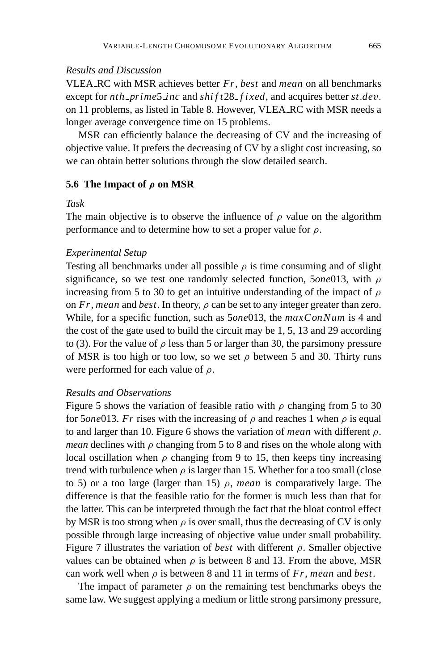# *Results and Discussion*

VLEA RC with MSR achieves better *Fr*, *best* and *mean* on all benchmarks except for *nth prime*5 *inc* and *shi f t*28 *f ixed*, and acquires better *st*.*de*v. on 11 problems, as listed in Table 8. However, VLEA RC with MSR needs a longer average convergence time on 15 problems.

MSR can efficiently balance the decreasing of CV and the increasing of objective value. It prefers the decreasing of CV by a slight cost increasing, so we can obtain better solutions through the slow detailed search.

### **5.6 The Impact of** *ρ* **on MSR**

### *Task*

The main objective is to observe the influence of  $\rho$  value on the algorithm performance and to determine how to set a proper value for  $\rho$ .

### *Experimental Setup*

Testing all benchmarks under all possible  $\rho$  is time consuming and of slight significance, so we test one randomly selected function, 5*one*013, with ρ increasing from 5 to 30 to get an intuitive understanding of the impact of  $\rho$ on  $Fr$ , *mean* and *best*. In theory,  $\rho$  can be set to any integer greater than zero. While, for a specific function, such as 5*one*013, the *maxConNum* is 4 and the cost of the gate used to build the circuit may be 1, 5, 13 and 29 according to (3). For the value of  $\rho$  less than 5 or larger than 30, the parsimony pressure of MSR is too high or too low, so we set  $\rho$  between 5 and 30. Thirty runs were performed for each value of  $\rho$ .

# *Results and Observations*

Figure 5 shows the variation of feasible ratio with  $\rho$  changing from 5 to 30 for 5*one* 013. *Fr* rises with the increasing of  $\rho$  and reaches 1 when  $\rho$  is equal to and larger than 10. Figure 6 shows the variation of *mean* with different ρ. *mean* declines with  $\rho$  changing from 5 to 8 and rises on the whole along with local oscillation when  $\rho$  changing from 9 to 15, then keeps tiny increasing trend with turbulence when  $\rho$  is larger than 15. Whether for a too small (close to 5) or a too large (larger than 15) ρ, *mean* is comparatively large. The difference is that the feasible ratio for the former is much less than that for the latter. This can be interpreted through the fact that the bloat control effect by MSR is too strong when  $\rho$  is over small, thus the decreasing of CV is only possible through large increasing of objective value under small probability. Figure 7 illustrates the variation of *best* with different ρ. Smaller objective values can be obtained when  $\rho$  is between 8 and 13. From the above, MSR can work well when  $\rho$  is between 8 and 11 in terms of  $Fr$ , *mean* and *best*.

The impact of parameter  $\rho$  on the remaining test benchmarks obeys the same law. We suggest applying a medium or little strong parsimony pressure,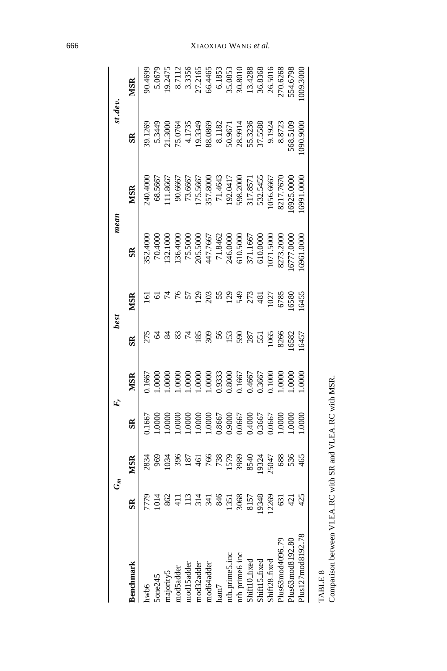|                                  |                |                      |                                                          |                                                                                                   | best          |              |                                                                                | mean                                                                                     | st.dev                                                                                                                                   |                                                                                                             |
|----------------------------------|----------------|----------------------|----------------------------------------------------------|---------------------------------------------------------------------------------------------------|---------------|--------------|--------------------------------------------------------------------------------|------------------------------------------------------------------------------------------|------------------------------------------------------------------------------------------------------------------------------------------|-------------------------------------------------------------------------------------------------------------|
| senchmark                        |                |                      |                                                          |                                                                                                   |               | Ş            | S <sub>R</sub>                                                                 | MSR                                                                                      | SR                                                                                                                                       | VISR                                                                                                        |
| hwb6                             |                |                      | 166                                                      | 166                                                                                               |               |              | 52.400                                                                         | 40.400                                                                                   | 9.1269                                                                                                                                   |                                                                                                             |
| one245                           |                |                      | 000                                                      | 000                                                                                               |               |              | 70.4000                                                                        | 68.566                                                                                   | 5.344                                                                                                                                    | 5.067°                                                                                                      |
| majority5                        |                |                      | 000                                                      | 000                                                                                               |               |              | 32.100                                                                         | .11.8667                                                                                 | 1.3000                                                                                                                                   | 19.2475                                                                                                     |
| mod5adde                         |                | 39                   | 0000                                                     | 000.                                                                                              |               |              | 136.4000                                                                       |                                                                                          | 75.0764                                                                                                                                  |                                                                                                             |
| mod15adde                        |                |                      | $000$ .                                                  | 000                                                                                               |               |              |                                                                                |                                                                                          |                                                                                                                                          |                                                                                                             |
| mod32addei                       |                |                      | 000(                                                     | 000                                                                                               |               |              | 75.5000<br>205.5000<br>447.7667<br>447.7667<br>71.1667<br>500.5000<br>50.50000 | 90.6667<br>73.6667<br>175.5667<br>157.8000<br>57.4443<br>17.8571<br>532.5455<br>532.5455 | $\begin{array}{r} 4.1735 \\ 19.3349 \\ 19.3349 \\ 88.0869 \\ 80.182 \\ 8.1182 \\ 50.9671 \\ 73.5336 \\ 55.3236 \\ 75.588 \\ \end{array}$ | 8.7112<br>3.3356<br>3.3356<br>5.27.2165<br>6.4465<br>5.35.0853<br>35.0808<br>36.83688<br>26.5016<br>26.5016 |
| mod64adde                        | 341            |                      |                                                          |                                                                                                   | 309           | 203          |                                                                                |                                                                                          |                                                                                                                                          |                                                                                                             |
| ham7                             | 846            | $\frac{766}{738}$    |                                                          |                                                                                                   | $\frac{6}{5}$ |              |                                                                                |                                                                                          |                                                                                                                                          |                                                                                                             |
| nth_prime5_in                    | 1351           |                      | 1.0000<br>0.8667<br>0.0667<br>0.4000<br>0.3667<br>0.0667 | $\begin{array}{l} 1.0000 \\ 0.9333 \\ 0.8000 \\ 0.1667 \\ 0.4667 \\ 0.3667 \\ 0.3667 \end{array}$ | 153           | 129          |                                                                                |                                                                                          |                                                                                                                                          |                                                                                                             |
| nth_prime6_in                    | 3068           | 1579<br>3986<br>854C |                                                          |                                                                                                   | 590           | 549          |                                                                                |                                                                                          |                                                                                                                                          |                                                                                                             |
| Shift10_fixed                    |                |                      |                                                          |                                                                                                   | 287           | 273          |                                                                                |                                                                                          |                                                                                                                                          |                                                                                                             |
| Shift15_fixe                     | 8157<br>9348   | 19324<br>25047       |                                                          |                                                                                                   | 551           | 481          |                                                                                |                                                                                          |                                                                                                                                          |                                                                                                             |
| Shift28 fixe                     | 2269           |                      |                                                          |                                                                                                   | 1065          |              | 1071.5000                                                                      |                                                                                          |                                                                                                                                          |                                                                                                             |
| Plus63mod409                     |                | 688                  | $000$ .                                                  | $0000$ .                                                                                          | 826f          | 1027<br>6785 | 3273.200                                                                       | 217.767                                                                                  | 8.8723                                                                                                                                   |                                                                                                             |
| Plus 63 mod 8192 <sub>-</sub> 80 | $\overline{5}$ | 536                  | 000                                                      | $0000$ .                                                                                          | 6582          | 6580         | 6777.000                                                                       | 6925.000                                                                                 | 568.5109                                                                                                                                 | 554.6798                                                                                                    |
| Plus 127 mod8192                 | 425            | 465                  | 000                                                      | 0000.                                                                                             | 16457         | 16455        | 6961.000                                                                       |                                                                                          | 006'06C                                                                                                                                  | 09.300                                                                                                      |
|                                  |                |                      |                                                          |                                                                                                   |               |              |                                                                                |                                                                                          |                                                                                                                                          |                                                                                                             |

TABLE 8<br>Comparison between VLEA\_RC with SR and VLEA\_RC with MSR. Comparison between VLEA RC with SR and VLEA RC with MSR.

# 666 XIAOXIAO WANG *et al.*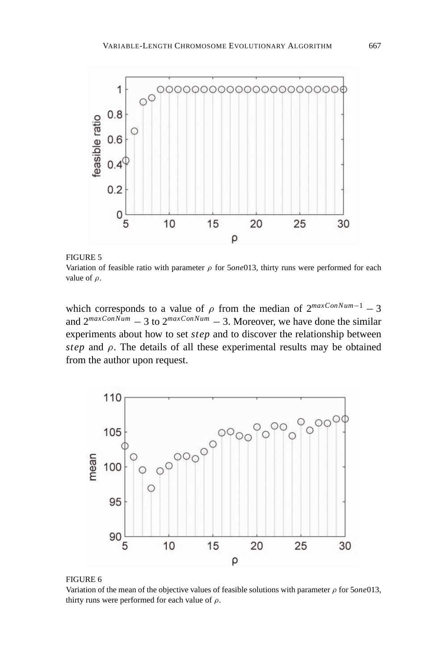

FIGURE 5

Variation of feasible ratio with parameter ρ for 5*one*013, thirty runs were performed for each value of  $\rho$ .

which corresponds to a value of  $\rho$  from the median of  $2^{maxConNum-1} - 3$ and  $2^{maxConNum} - 3$  to  $2^{maxConNum} - 3$ . Moreover, we have done the similar experiments about how to set *step* and to discover the relationship between *step* and  $\rho$ . The details of all these experimental results may be obtained from the author upon request.



#### FIGURE 6

Variation of the mean of the objective values of feasible solutions with parameter ρ for 5*one*013, thirty runs were performed for each value of  $\rho$ .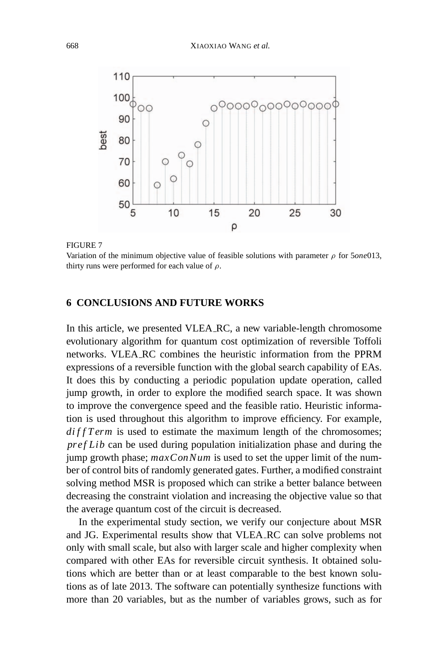

#### FIGURE 7

Variation of the minimum objective value of feasible solutions with parameter ρ for 5*one*013, thirty runs were performed for each value of  $\rho$ .

## **6 CONCLUSIONS AND FUTURE WORKS**

In this article, we presented VLEA RC, a new variable-length chromosome evolutionary algorithm for quantum cost optimization of reversible Toffoli networks. VLEA RC combines the heuristic information from the PPRM expressions of a reversible function with the global search capability of EAs. It does this by conducting a periodic population update operation, called jump growth, in order to explore the modified search space. It was shown to improve the convergence speed and the feasible ratio. Heuristic information is used throughout this algorithm to improve efficiency. For example,  $diffTerm$  is used to estimate the maximum length of the chromosomes; *pref Lib* can be used during population initialization phase and during the jump growth phase; *maxConNum* is used to set the upper limit of the number of control bits of randomly generated gates. Further, a modified constraint solving method MSR is proposed which can strike a better balance between decreasing the constraint violation and increasing the objective value so that the average quantum cost of the circuit is decreased.

In the experimental study section, we verify our conjecture about MSR and JG. Experimental results show that VLEA RC can solve problems not only with small scale, but also with larger scale and higher complexity when compared with other EAs for reversible circuit synthesis. It obtained solutions which are better than or at least comparable to the best known solutions as of late 2013. The software can potentially synthesize functions with more than 20 variables, but as the number of variables grows, such as for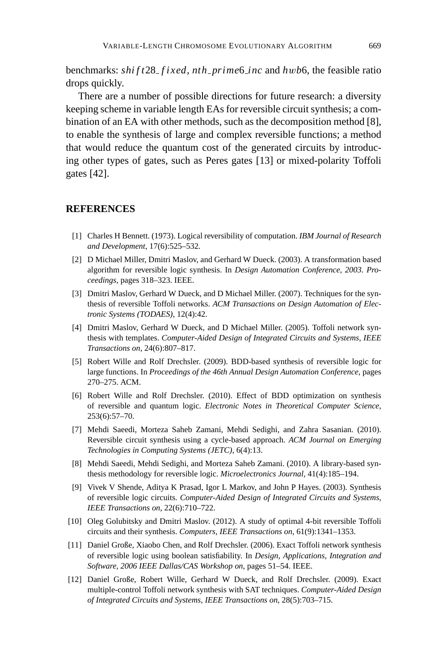benchmarks: *shi f t*28 *f ixed*, *nth prime*6 *inc* and *h*w*b*6, the feasible ratio drops quickly.

There are a number of possible directions for future research: a diversity keeping scheme in variable length EAs for reversible circuit synthesis; a combination of an EA with other methods, such as the decomposition method [8], to enable the synthesis of large and complex reversible functions; a method that would reduce the quantum cost of the generated circuits by introducing other types of gates, such as Peres gates [13] or mixed-polarity Toffoli gates [42].

# **REFERENCES**

- [1] Charles H Bennett. (1973). Logical reversibility of computation. *IBM Journal of Research and Development*, 17(6):525–532.
- [2] D Michael Miller, Dmitri Maslov, and Gerhard W Dueck. (2003). A transformation based algorithm for reversible logic synthesis. In *Design Automation Conference, 2003. Proceedings*, pages 318–323. IEEE.
- [3] Dmitri Maslov, Gerhard W Dueck, and D Michael Miller. (2007). Techniques for the synthesis of reversible Toffoli networks. *ACM Transactions on Design Automation of Electronic Systems (TODAES)*, 12(4):42.
- [4] Dmitri Maslov, Gerhard W Dueck, and D Michael Miller. (2005). Toffoli network synthesis with templates. *Computer-Aided Design of Integrated Circuits and Systems, IEEE Transactions on*, 24(6):807–817.
- [5] Robert Wille and Rolf Drechsler. (2009). BDD-based synthesis of reversible logic for large functions. In *Proceedings of the 46th Annual Design Automation Conference*, pages 270–275. ACM.
- [6] Robert Wille and Rolf Drechsler. (2010). Effect of BDD optimization on synthesis of reversible and quantum logic. *Electronic Notes in Theoretical Computer Science*, 253(6):57–70.
- [7] Mehdi Saeedi, Morteza Saheb Zamani, Mehdi Sedighi, and Zahra Sasanian. (2010). Reversible circuit synthesis using a cycle-based approach. *ACM Journal on Emerging Technologies in Computing Systems (JETC)*, 6(4):13.
- [8] Mehdi Saeedi, Mehdi Sedighi, and Morteza Saheb Zamani. (2010). A library-based synthesis methodology for reversible logic. *Microelectronics Journal*, 41(4):185–194.
- [9] Vivek V Shende, Aditya K Prasad, Igor L Markov, and John P Hayes. (2003). Synthesis of reversible logic circuits. *Computer-Aided Design of Integrated Circuits and Systems, IEEE Transactions on*, 22(6):710–722.
- [10] Oleg Golubitsky and Dmitri Maslov. (2012). A study of optimal 4-bit reversible Toffoli circuits and their synthesis. *Computers, IEEE Transactions on*, 61(9):1341–1353.
- [11] Daniel Große, Xiaobo Chen, and Rolf Drechsler. (2006). Exact Toffoli network synthesis of reversible logic using boolean satisfiability. In *Design, Applications, Integration and Software, 2006 IEEE Dallas/CAS Workshop on*, pages 51–54. IEEE.
- [12] Daniel Große, Robert Wille, Gerhard W Dueck, and Rolf Drechsler. (2009). Exact multiple-control Toffoli network synthesis with SAT techniques. *Computer-Aided Design of Integrated Circuits and Systems, IEEE Transactions on*, 28(5):703–715.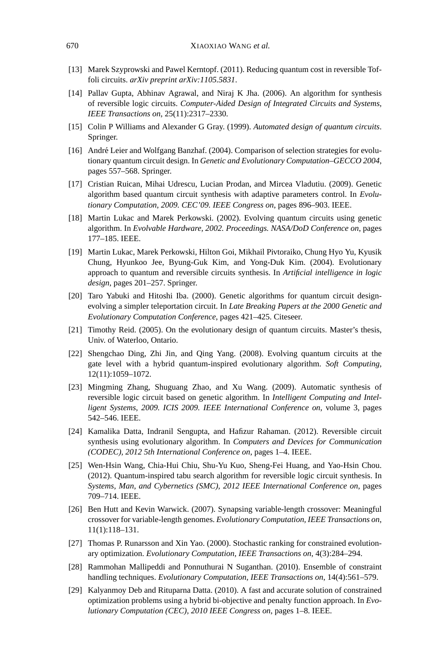- [13] Marek Szyprowski and Pawel Kerntopf. (2011). Reducing quantum cost in reversible Toffoli circuits. *arXiv preprint arXiv:1105.5831*.
- [14] Pallav Gupta, Abhinav Agrawal, and Niraj K Jha. (2006). An algorithm for synthesis of reversible logic circuits. *Computer-Aided Design of Integrated Circuits and Systems, IEEE Transactions on*, 25(11):2317–2330.
- [15] Colin P Williams and Alexander G Gray. (1999). *Automated design of quantum circuits*. Springer.
- [16] André Leier and Wolfgang Banzhaf. (2004). Comparison of selection strategies for evolutionary quantum circuit design. In *Genetic and Evolutionary Computation–GECCO 2004*, pages 557–568. Springer.
- [17] Cristian Ruican, Mihai Udrescu, Lucian Prodan, and Mircea Vladutiu. (2009). Genetic algorithm based quantum circuit synthesis with adaptive parameters control. In *Evolutionary Computation, 2009. CEC'09. IEEE Congress on*, pages 896–903. IEEE.
- [18] Martin Lukac and Marek Perkowski. (2002). Evolving quantum circuits using genetic algorithm. In *Evolvable Hardware, 2002. Proceedings. NASA/DoD Conference on*, pages 177–185. IEEE.
- [19] Martin Lukac, Marek Perkowski, Hilton Goi, Mikhail Pivtoraiko, Chung Hyo Yu, Kyusik Chung, Hyunkoo Jee, Byung-Guk Kim, and Yong-Duk Kim. (2004). Evolutionary approach to quantum and reversible circuits synthesis. In *Artificial intelligence in logic design*, pages 201–257. Springer.
- [20] Taro Yabuki and Hitoshi Iba. (2000). Genetic algorithms for quantum circuit designevolving a simpler teleportation circuit. In *Late Breaking Papers at the 2000 Genetic and Evolutionary Computation Conference*, pages 421–425. Citeseer.
- [21] Timothy Reid. (2005). On the evolutionary design of quantum circuits. Master's thesis, Univ. of Waterloo, Ontario.
- [22] Shengchao Ding, Zhi Jin, and Qing Yang. (2008). Evolving quantum circuits at the gate level with a hybrid quantum-inspired evolutionary algorithm. *Soft Computing*, 12(11):1059–1072.
- [23] Mingming Zhang, Shuguang Zhao, and Xu Wang. (2009). Automatic synthesis of reversible logic circuit based on genetic algorithm. In *Intelligent Computing and Intelligent Systems, 2009. ICIS 2009. IEEE International Conference on*, volume 3, pages 542–546. IEEE.
- [24] Kamalika Datta, Indranil Sengupta, and Hafizur Rahaman. (2012). Reversible circuit synthesis using evolutionary algorithm. In *Computers and Devices for Communication (CODEC), 2012 5th International Conference on*, pages 1–4. IEEE.
- [25] Wen-Hsin Wang, Chia-Hui Chiu, Shu-Yu Kuo, Sheng-Fei Huang, and Yao-Hsin Chou. (2012). Quantum-inspired tabu search algorithm for reversible logic circuit synthesis. In *Systems, Man, and Cybernetics (SMC), 2012 IEEE International Conference on*, pages 709–714. IEEE.
- [26] Ben Hutt and Kevin Warwick. (2007). Synapsing variable-length crossover: Meaningful crossover for variable-length genomes. *Evolutionary Computation, IEEE Transactions on*, 11(1):118–131.
- [27] Thomas P. Runarsson and Xin Yao. (2000). Stochastic ranking for constrained evolutionary optimization. *Evolutionary Computation, IEEE Transactions on*, 4(3):284–294.
- [28] Rammohan Mallipeddi and Ponnuthurai N Suganthan. (2010). Ensemble of constraint handling techniques. *Evolutionary Computation, IEEE Transactions on*, 14(4):561–579.
- [29] Kalyanmoy Deb and Rituparna Datta. (2010). A fast and accurate solution of constrained optimization problems using a hybrid bi-objective and penalty function approach. In *Evolutionary Computation (CEC), 2010 IEEE Congress on*, pages 1–8. IEEE.